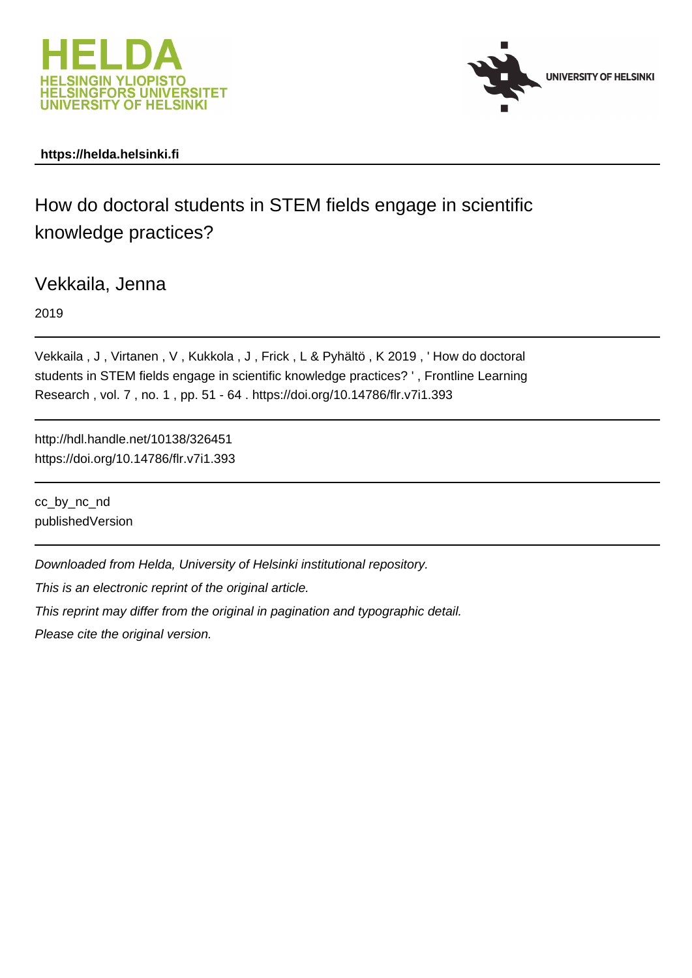



## **https://helda.helsinki.fi**

How do doctoral students in STEM fields engage in scientific knowledge practices?

Vekkaila, Jenna

2019

Vekkaila , J , Virtanen , V , Kukkola , J , Frick , L & Pyhältö , K 2019 , ' How do doctoral students in STEM fields engage in scientific knowledge practices? ' , Frontline Learning Research , vol. 7 , no. 1 , pp. 51 - 64 . https://doi.org/10.14786/flr.v7i1.393

http://hdl.handle.net/10138/326451 https://doi.org/10.14786/flr.v7i1.393

cc\_by\_nc\_nd publishedVersion

Downloaded from Helda, University of Helsinki institutional repository.

This is an electronic reprint of the original article.

This reprint may differ from the original in pagination and typographic detail.

Please cite the original version.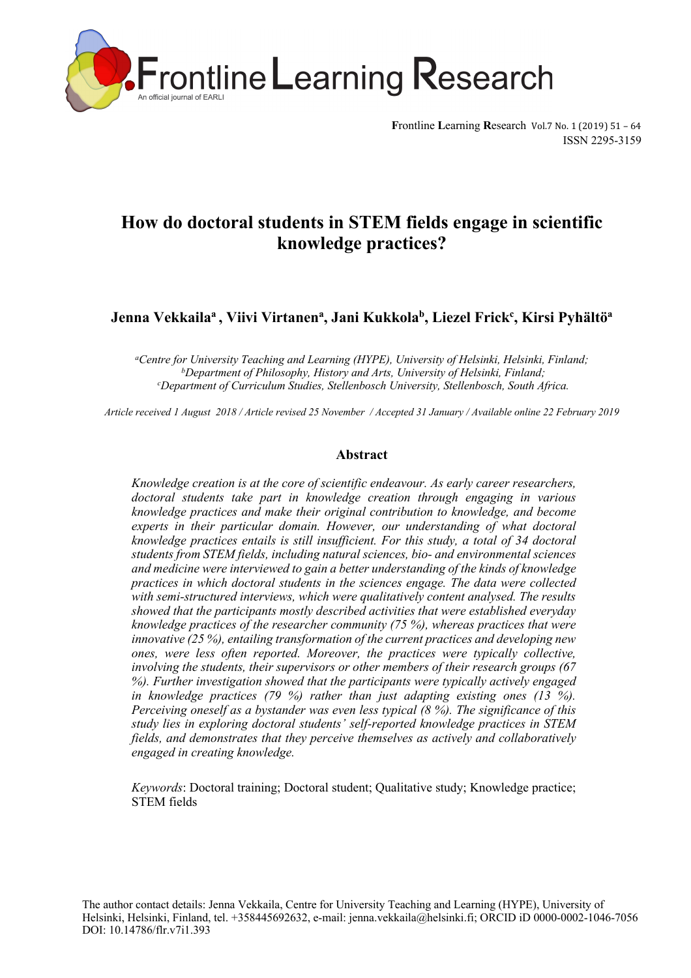

**Frontline Learning Research Vol.7 No. 1 (2019) 51 - 64** ISSN 2295-3159

# **How do doctoral students in STEM fields engage in scientific knowledge practices?**

**Jenna Vekkailaa , Viivi Virtanena, Jani Kukkolab, Liezel Frickc , Kirsi Pyhältöa**

*aCentre for University Teaching and Learning (HYPE), University of Helsinki, Helsinki, Finland; bDepartment of Philosophy, History and Arts, University of Helsinki, Finland; c Department of Curriculum Studies, Stellenbosch University, Stellenbosch, South Africa.*

*Article received 1 August 2018 / Article revised 25 November / Accepted 31 January / Available online 22 February 2019*

#### **Abstract**

*Knowledge creation is at the core of scientific endeavour. As early career researchers, doctoral students take part in knowledge creation through engaging in various knowledge practices and make their original contribution to knowledge, and become experts in their particular domain. However, our understanding of what doctoral knowledge practices entails is still insufficient. For this study, a total of 34 doctoral students from STEM fields, including natural sciences, bio- and environmental sciences and medicine were interviewed to gain a better understanding of the kinds of knowledge practices in which doctoral students in the sciences engage. The data were collected with semi-structured interviews, which were qualitatively content analysed. The results showed that the participants mostly described activities that were established everyday knowledge practices of the researcher community (75 %), whereas practices that were innovative (25 %), entailing transformation of the current practices and developing new ones, were less often reported. Moreover, the practices were typically collective, involving the students, their supervisors or other members of their research groups (67 %). Further investigation showed that the participants were typically actively engaged in knowledge practices (79 %) rather than just adapting existing ones (13 %). Perceiving oneself as a bystander was even less typical (8 %). The significance of this study lies in exploring doctoral students' self-reported knowledge practices in STEM fields, and demonstrates that they perceive themselves as actively and collaboratively engaged in creating knowledge.* 

*Keywords*: Doctoral training; Doctoral student; Qualitative study; Knowledge practice; STEM fields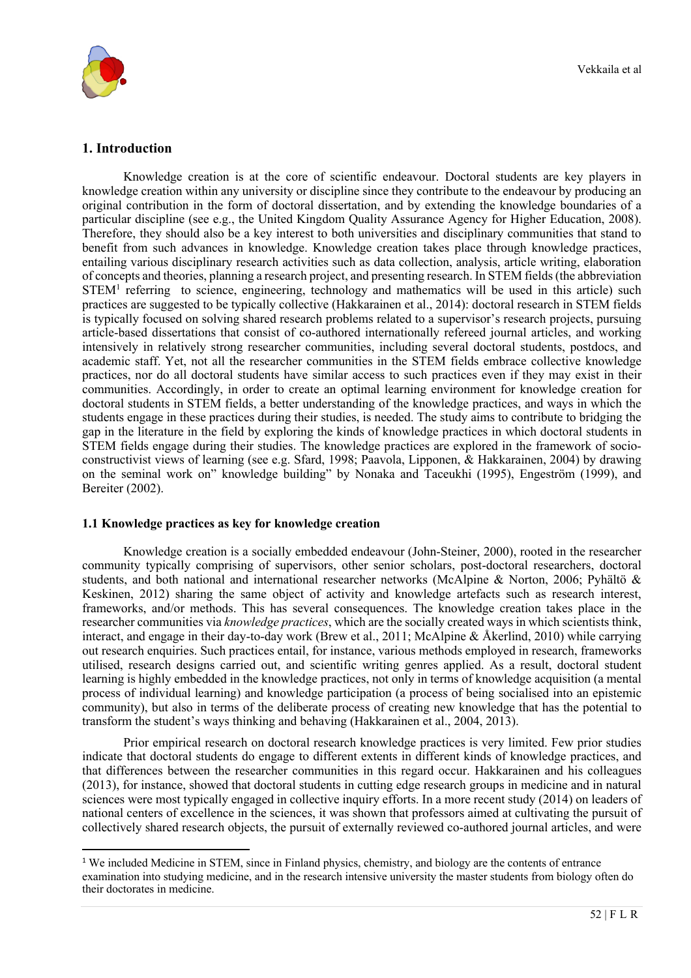

## **1. Introduction**

Knowledge creation is at the core of scientific endeavour. Doctoral students are key players in knowledge creation within any university or discipline since they contribute to the endeavour by producing an original contribution in the form of doctoral dissertation, and by extending the knowledge boundaries of a particular discipline (see e.g., the United Kingdom Quality Assurance Agency for Higher Education, 2008). Therefore, they should also be a key interest to both universities and disciplinary communities that stand to benefit from such advances in knowledge. Knowledge creation takes place through knowledge practices, entailing various disciplinary research activities such as data collection, analysis, article writing, elaboration of concepts and theories, planning a research project, and presenting research. In STEM fields(the abbreviation  $STEM<sup>1</sup>$  referring to science, engineering, technology and mathematics will be used in this article) such practices are suggested to be typically collective (Hakkarainen et al., 2014): doctoral research in STEM fields is typically focused on solving shared research problems related to a supervisor's research projects, pursuing article-based dissertations that consist of co-authored internationally refereed journal articles, and working intensively in relatively strong researcher communities, including several doctoral students, postdocs, and academic staff. Yet, not all the researcher communities in the STEM fields embrace collective knowledge practices, nor do all doctoral students have similar access to such practices even if they may exist in their communities. Accordingly, in order to create an optimal learning environment for knowledge creation for doctoral students in STEM fields, a better understanding of the knowledge practices, and ways in which the students engage in these practices during their studies, is needed. The study aims to contribute to bridging the gap in the literature in the field by exploring the kinds of knowledge practices in which doctoral students in STEM fields engage during their studies. The knowledge practices are explored in the framework of socioconstructivist views of learning (see e.g. Sfard, 1998; Paavola, Lipponen, & Hakkarainen, 2004) by drawing on the seminal work on" knowledge building" by Nonaka and Taceukhi (1995), Engeström (1999), and Bereiter (2002).

#### **1.1 Knowledge practices as key for knowledge creation**

Knowledge creation is a socially embedded endeavour (John-Steiner, 2000), rooted in the researcher community typically comprising of supervisors, other senior scholars, post-doctoral researchers, doctoral students, and both national and international researcher networks (McAlpine & Norton, 2006; Pyhältö & Keskinen, 2012) sharing the same object of activity and knowledge artefacts such as research interest, frameworks, and/or methods. This has several consequences. The knowledge creation takes place in the researcher communities via *knowledge practices*, which are the socially created ways in which scientists think, interact, and engage in their day-to-day work (Brew et al., 2011; McAlpine & Åkerlind, 2010) while carrying out research enquiries. Such practices entail, for instance, various methods employed in research, frameworks utilised, research designs carried out, and scientific writing genres applied. As a result, doctoral student learning is highly embedded in the knowledge practices, not only in terms of knowledge acquisition (a mental process of individual learning) and knowledge participation (a process of being socialised into an epistemic community), but also in terms of the deliberate process of creating new knowledge that has the potential to transform the student's ways thinking and behaving (Hakkarainen et al., 2004, 2013).

Prior empirical research on doctoral research knowledge practices is very limited. Few prior studies indicate that doctoral students do engage to different extents in different kinds of knowledge practices, and that differences between the researcher communities in this regard occur. Hakkarainen and his colleagues (2013), for instance, showed that doctoral students in cutting edge research groups in medicine and in natural sciences were most typically engaged in collective inquiry efforts. In a more recent study (2014) on leaders of national centers of excellence in the sciences, it was shown that professors aimed at cultivating the pursuit of collectively shared research objects, the pursuit of externally reviewed co-authored journal articles, and were

<sup>&</sup>lt;sup>1</sup> We included Medicine in STEM, since in Finland physics, chemistry, and biology are the contents of entrance examination into studying medicine, and in the research intensive university the master students from biology often do their doctorates in medicine.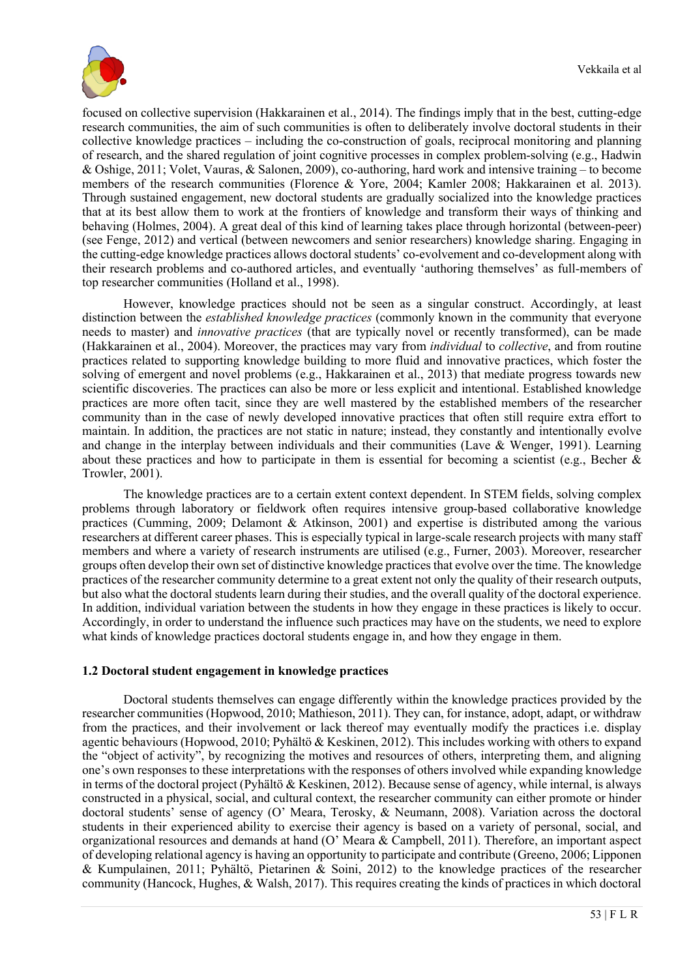

focused on collective supervision (Hakkarainen et al., 2014). The findings imply that in the best, cutting-edge research communities, the aim of such communities is often to deliberately involve doctoral students in their collective knowledge practices – including the co-construction of goals, reciprocal monitoring and planning of research, and the shared regulation of joint cognitive processes in complex problem-solving (e.g., Hadwin & Oshige, 2011; Volet, Vauras, & Salonen, 2009), co-authoring, hard work and intensive training – to become members of the research communities (Florence & Yore, 2004; Kamler 2008; Hakkarainen et al. 2013). Through sustained engagement, new doctoral students are gradually socialized into the knowledge practices that at its best allow them to work at the frontiers of knowledge and transform their ways of thinking and behaving (Holmes, 2004). A great deal of this kind of learning takes place through horizontal (between-peer) (see Fenge, 2012) and vertical (between newcomers and senior researchers) knowledge sharing. Engaging in the cutting-edge knowledge practices allows doctoral students' co-evolvement and co-development along with their research problems and co-authored articles, and eventually 'authoring themselves' as full-members of top researcher communities (Holland et al., 1998).

However, knowledge practices should not be seen as a singular construct. Accordingly, at least distinction between the *established knowledge practices* (commonly known in the community that everyone needs to master) and *innovative practices* (that are typically novel or recently transformed), can be made (Hakkarainen et al., 2004). Moreover, the practices may vary from *individual* to *collective*, and from routine practices related to supporting knowledge building to more fluid and innovative practices, which foster the solving of emergent and novel problems (e.g., Hakkarainen et al., 2013) that mediate progress towards new scientific discoveries. The practices can also be more or less explicit and intentional. Established knowledge practices are more often tacit, since they are well mastered by the established members of the researcher community than in the case of newly developed innovative practices that often still require extra effort to maintain. In addition, the practices are not static in nature; instead, they constantly and intentionally evolve and change in the interplay between individuals and their communities (Lave & Wenger, 1991). Learning about these practices and how to participate in them is essential for becoming a scientist (e.g., Becher & Trowler, 2001).

The knowledge practices are to a certain extent context dependent. In STEM fields, solving complex problems through laboratory or fieldwork often requires intensive group-based collaborative knowledge practices (Cumming, 2009; Delamont & Atkinson, 2001) and expertise is distributed among the various researchers at different career phases. This is especially typical in large-scale research projects with many staff members and where a variety of research instruments are utilised (e.g., Furner, 2003). Moreover, researcher groups often develop their own set of distinctive knowledge practices that evolve over the time. The knowledge practices of the researcher community determine to a great extent not only the quality of their research outputs, but also what the doctoral students learn during their studies, and the overall quality of the doctoral experience. In addition, individual variation between the students in how they engage in these practices is likely to occur. Accordingly, in order to understand the influence such practices may have on the students, we need to explore what kinds of knowledge practices doctoral students engage in, and how they engage in them.

#### **1.2 Doctoral student engagement in knowledge practices**

Doctoral students themselves can engage differently within the knowledge practices provided by the researcher communities (Hopwood, 2010; Mathieson, 2011). They can, for instance, adopt, adapt, or withdraw from the practices, and their involvement or lack thereof may eventually modify the practices i.e. display agentic behaviours (Hopwood, 2010; Pyhältö & Keskinen, 2012). This includes working with others to expand the "object of activity", by recognizing the motives and resources of others, interpreting them, and aligning one's own responses to these interpretations with the responses of others involved while expanding knowledge in terms of the doctoral project (Pyhältö & Keskinen, 2012). Because sense of agency, while internal, is always constructed in a physical, social, and cultural context, the researcher community can either promote or hinder doctoral students' sense of agency (O' Meara, Terosky, & Neumann, 2008). Variation across the doctoral students in their experienced ability to exercise their agency is based on a variety of personal, social, and organizational resources and demands at hand (O' Meara & Campbell, 2011). Therefore, an important aspect of developing relational agency is having an opportunity to participate and contribute (Greeno, 2006; Lipponen & Kumpulainen, 2011; Pyhältö, Pietarinen & Soini, 2012) to the knowledge practices of the researcher community (Hancock, Hughes, & Walsh, 2017). This requires creating the kinds of practices in which doctoral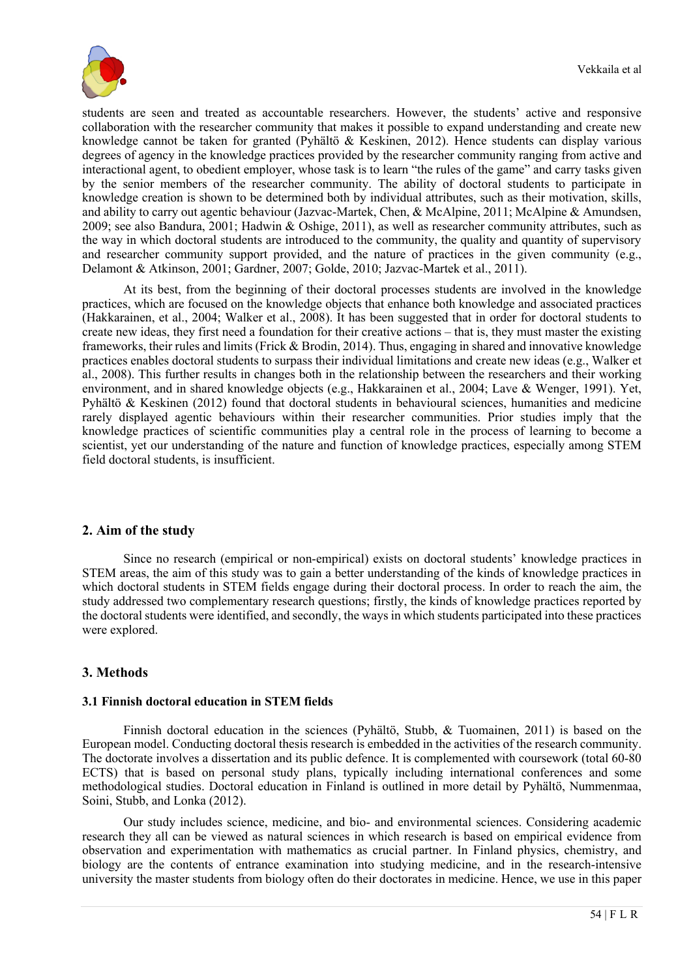

students are seen and treated as accountable researchers. However, the students' active and responsive collaboration with the researcher community that makes it possible to expand understanding and create new knowledge cannot be taken for granted (Pyhältö & Keskinen, 2012). Hence students can display various degrees of agency in the knowledge practices provided by the researcher community ranging from active and interactional agent, to obedient employer, whose task is to learn "the rules of the game" and carry tasks given by the senior members of the researcher community. The ability of doctoral students to participate in knowledge creation is shown to be determined both by individual attributes, such as their motivation, skills, and ability to carry out agentic behaviour (Jazvac-Martek, Chen, & McAlpine, 2011; McAlpine & Amundsen, 2009; see also Bandura, 2001; Hadwin & Oshige, 2011), as well as researcher community attributes, such as the way in which doctoral students are introduced to the community, the quality and quantity of supervisory and researcher community support provided, and the nature of practices in the given community (e.g., Delamont & Atkinson, 2001; Gardner, 2007; Golde, 2010; Jazvac-Martek et al., 2011).

At its best, from the beginning of their doctoral processes students are involved in the knowledge practices, which are focused on the knowledge objects that enhance both knowledge and associated practices (Hakkarainen, et al., 2004; Walker et al., 2008). It has been suggested that in order for doctoral students to create new ideas, they first need a foundation for their creative actions – that is, they must master the existing frameworks, their rules and limits (Frick & Brodin, 2014). Thus, engaging in shared and innovative knowledge practices enables doctoral students to surpass their individual limitations and create new ideas (e.g., Walker et al., 2008). This further results in changes both in the relationship between the researchers and their working environment, and in shared knowledge objects (e.g., Hakkarainen et al., 2004; Lave & Wenger, 1991). Yet, Pyhältö & Keskinen (2012) found that doctoral students in behavioural sciences, humanities and medicine rarely displayed agentic behaviours within their researcher communities. Prior studies imply that the knowledge practices of scientific communities play a central role in the process of learning to become a scientist, yet our understanding of the nature and function of knowledge practices, especially among STEM field doctoral students, is insufficient.

## **2. Aim of the study**

Since no research (empirical or non-empirical) exists on doctoral students' knowledge practices in STEM areas, the aim of this study was to gain a better understanding of the kinds of knowledge practices in which doctoral students in STEM fields engage during their doctoral process. In order to reach the aim, the study addressed two complementary research questions; firstly, the kinds of knowledge practices reported by the doctoral students were identified, and secondly, the ways in which students participated into these practices were explored.

#### **3. Methods**

#### **3.1 Finnish doctoral education in STEM fields**

Finnish doctoral education in the sciences (Pyhältö, Stubb, & Tuomainen, 2011) is based on the European model. Conducting doctoral thesis research is embedded in the activities of the research community. The doctorate involves a dissertation and its public defence. It is complemented with coursework (total 60-80 ECTS) that is based on personal study plans, typically including international conferences and some methodological studies. Doctoral education in Finland is outlined in more detail by Pyhältö, Nummenmaa, Soini, Stubb, and Lonka (2012).

Our study includes science, medicine, and bio- and environmental sciences. Considering academic research they all can be viewed as natural sciences in which research is based on empirical evidence from observation and experimentation with mathematics as crucial partner. In Finland physics, chemistry, and biology are the contents of entrance examination into studying medicine, and in the research-intensive university the master students from biology often do their doctorates in medicine. Hence, we use in this paper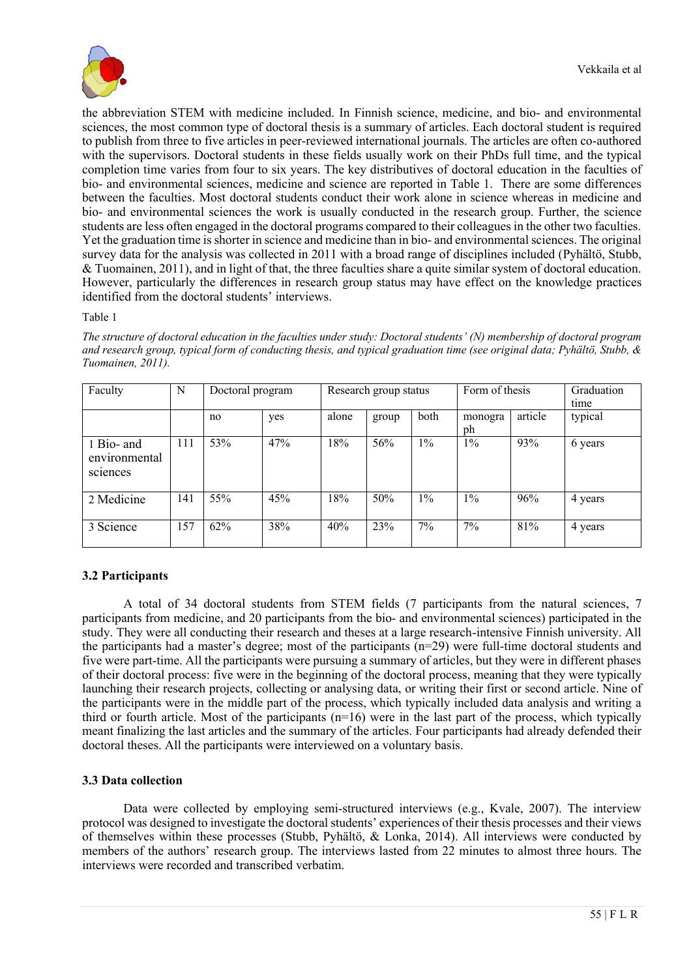

the abbreviation STEM with medicine included. In Finnish science, medicine, and bio- and environmental sciences, the most common type of doctoral thesis is a summary of articles. Each doctoral student is required to publish from three to five articles in peer-reviewed international journals. The articles are often co-authored with the supervisors. Doctoral students in these fields usually work on their PhDs full time, and the typical completion time varies from four to six years. The key distributives of doctoral education in the faculties of bio- and environmental sciences, medicine and science are reported in Table 1. There are some differences between the faculties. Most doctoral students conduct their work alone in science whereas in medicine and bio- and environmental sciences the work is usually conducted in the research group. Further, the science students are less often engaged in the doctoral programs compared to their colleagues in the other two faculties. Yet the graduation time is shorter in science and medicine than in bio- and environmental sciences. The original survey data for the analysis was collected in 2011 with a broad range of disciplines included (Pyhältö, Stubb, & Tuomainen, 2011), and in light of that, the three faculties share a quite similar system of doctoral education. However, particularly the differences in research group status may have effect on the knowledge practices identified from the doctoral students' interviews.

Table 1

| Faculty                                 | N   | Doctoral program |     | Research group status |       |       | Form of thesis |         | Graduation<br>time |
|-----------------------------------------|-----|------------------|-----|-----------------------|-------|-------|----------------|---------|--------------------|
|                                         |     | no               | yes | alone                 | group | both  | monogra<br>ph  | article | typical            |
| 1 Bio- and<br>environmental<br>sciences | 111 | 53%              | 47% | 18%                   | 56%   | $1\%$ | $1\%$          | 93%     | 6 years            |
| 2 Medicine                              | 141 | 55%              | 45% | 18%                   | 50%   | $1\%$ | $1\%$          | 96%     | 4 years            |
| 3 Science                               | 157 | 62%              | 38% | 40%                   | 23%   | 7%    | 7%             | 81%     | 4 years            |

*The structure of doctoral education in the faculties under study: Doctoral students' (N) membership of doctoral program and research group, typical form of conducting thesis, and typical graduation time (see original data; Pyhältö, Stubb, & Tuomainen, 2011).*

## **3.2 Participants**

A total of 34 doctoral students from STEM fields (7 participants from the natural sciences, 7 participants from medicine, and 20 participants from the bio- and environmental sciences) participated in the study. They were all conducting their research and theses at a large research-intensive Finnish university. All the participants had a master's degree; most of the participants (n=29) were full-time doctoral students and five were part-time. All the participants were pursuing a summary of articles, but they were in different phases of their doctoral process: five were in the beginning of the doctoral process, meaning that they were typically launching their research projects, collecting or analysing data, or writing their first or second article. Nine of the participants were in the middle part of the process, which typically included data analysis and writing a third or fourth article. Most of the participants  $(n=16)$  were in the last part of the process, which typically meant finalizing the last articles and the summary of the articles. Four participants had already defended their doctoral theses. All the participants were interviewed on a voluntary basis.

#### **3.3 Data collection**

Data were collected by employing semi-structured interviews (e.g., Kvale, 2007). The interview protocol was designed to investigate the doctoral students' experiences of their thesis processes and their views of themselves within these processes (Stubb, Pyhältö, & Lonka, 2014). All interviews were conducted by members of the authors' research group. The interviews lasted from 22 minutes to almost three hours. The interviews were recorded and transcribed verbatim.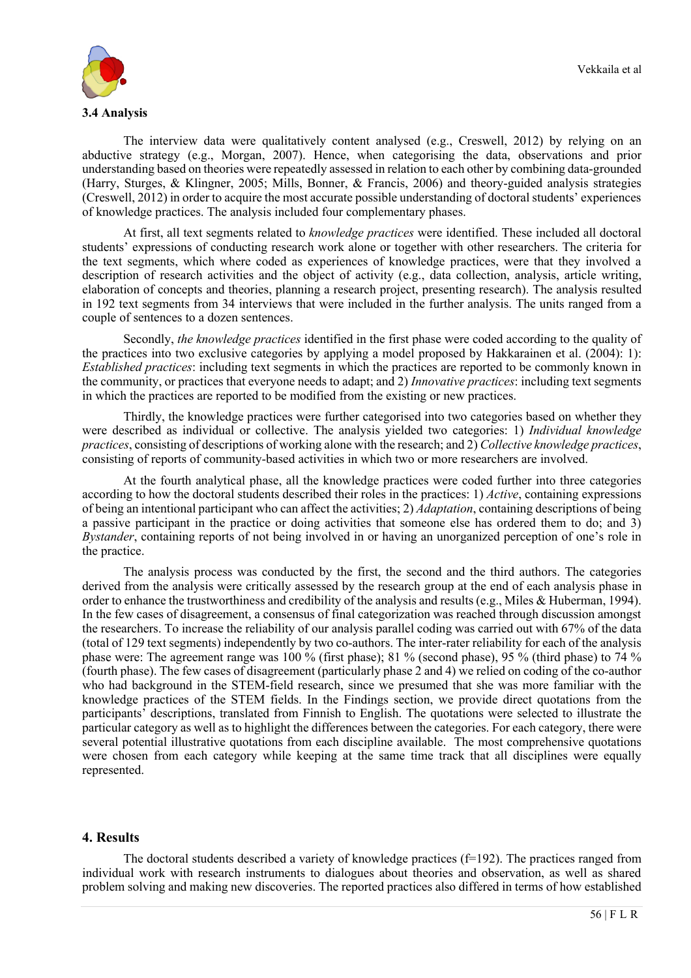

The interview data were qualitatively content analysed (e.g., Creswell, 2012) by relying on an abductive strategy (e.g., Morgan, 2007). Hence, when categorising the data, observations and prior understanding based on theories were repeatedly assessed in relation to each other by combining data-grounded (Harry, Sturges, & Klingner, 2005; Mills, Bonner, & Francis, 2006) and theory-guided analysis strategies (Creswell, 2012) in order to acquire the most accurate possible understanding of doctoral students' experiences of knowledge practices. The analysis included four complementary phases.

At first, all text segments related to *knowledge practices* were identified. These included all doctoral students' expressions of conducting research work alone or together with other researchers. The criteria for the text segments, which where coded as experiences of knowledge practices, were that they involved a description of research activities and the object of activity (e.g., data collection, analysis, article writing, elaboration of concepts and theories, planning a research project, presenting research). The analysis resulted in 192 text segments from 34 interviews that were included in the further analysis. The units ranged from a couple of sentences to a dozen sentences.

Secondly, *the knowledge practices* identified in the first phase were coded according to the quality of the practices into two exclusive categories by applying a model proposed by Hakkarainen et al. (2004): 1): *Established practices*: including text segments in which the practices are reported to be commonly known in the community, or practices that everyone needs to adapt; and 2) *Innovative practices*: including text segments in which the practices are reported to be modified from the existing or new practices.

Thirdly, the knowledge practices were further categorised into two categories based on whether they were described as individual or collective. The analysis yielded two categories: 1) *Individual knowledge practices*, consisting of descriptions of working alone with the research; and 2) *Collective knowledge practices*, consisting of reports of community-based activities in which two or more researchers are involved.

At the fourth analytical phase, all the knowledge practices were coded further into three categories according to how the doctoral students described their roles in the practices: 1) *Active*, containing expressions of being an intentional participant who can affect the activities; 2) *Adaptation*, containing descriptions of being a passive participant in the practice or doing activities that someone else has ordered them to do; and 3) *Bystander*, containing reports of not being involved in or having an unorganized perception of one's role in the practice.

The analysis process was conducted by the first, the second and the third authors. The categories derived from the analysis were critically assessed by the research group at the end of each analysis phase in order to enhance the trustworthiness and credibility of the analysis and results (e.g., Miles & Huberman, 1994). In the few cases of disagreement, a consensus of final categorization was reached through discussion amongst the researchers. To increase the reliability of our analysis parallel coding was carried out with 67% of the data (total of 129 text segments) independently by two co-authors. The inter-rater reliability for each of the analysis phase were: The agreement range was 100 % (first phase); 81 % (second phase), 95 % (third phase) to 74 % (fourth phase). The few cases of disagreement (particularly phase 2 and 4) we relied on coding of the co-author who had background in the STEM-field research, since we presumed that she was more familiar with the knowledge practices of the STEM fields. In the Findings section, we provide direct quotations from the participants' descriptions, translated from Finnish to English. The quotations were selected to illustrate the particular category as well as to highlight the differences between the categories. For each category, there were several potential illustrative quotations from each discipline available. The most comprehensive quotations were chosen from each category while keeping at the same time track that all disciplines were equally represented.

#### **4. Results**

The doctoral students described a variety of knowledge practices  $(f=192)$ . The practices ranged from individual work with research instruments to dialogues about theories and observation, as well as shared problem solving and making new discoveries. The reported practices also differed in terms of how established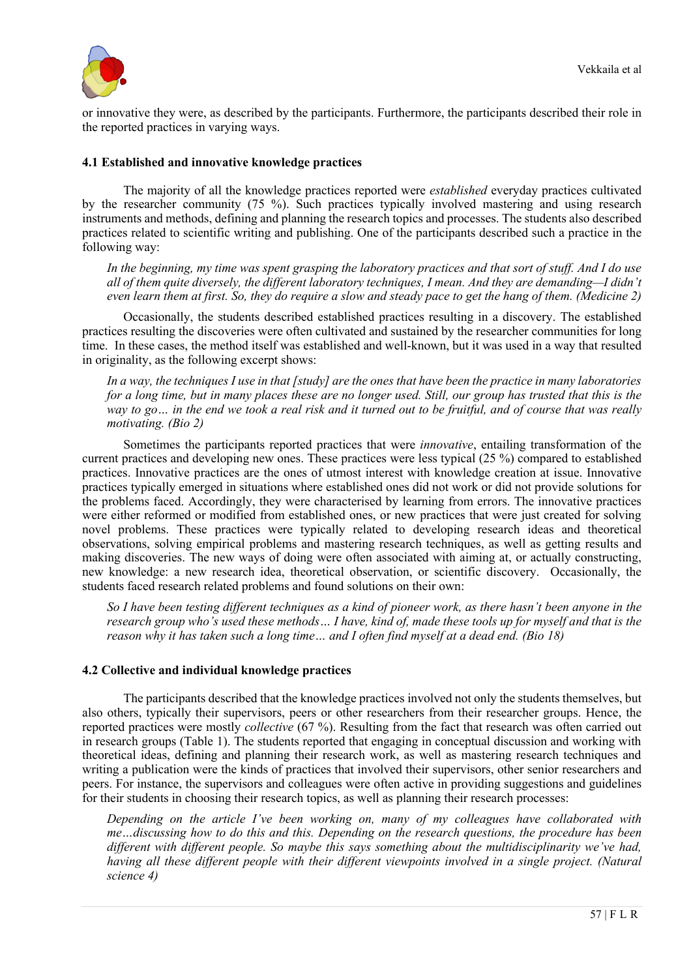

or innovative they were, as described by the participants. Furthermore, the participants described their role in the reported practices in varying ways.

### **4.1 Established and innovative knowledge practices**

The majority of all the knowledge practices reported were *established* everyday practices cultivated by the researcher community (75 %). Such practices typically involved mastering and using research instruments and methods, defining and planning the research topics and processes. The students also described practices related to scientific writing and publishing. One of the participants described such a practice in the following way:

*In the beginning, my time was spent grasping the laboratory practices and that sort of stuff. And I do use all of them quite diversely, the different laboratory techniques, I mean. And they are demanding—I didn't even learn them at first. So, they do require a slow and steady pace to get the hang of them. (Medicine 2)*

Occasionally, the students described established practices resulting in a discovery. The established practices resulting the discoveries were often cultivated and sustained by the researcher communities for long time. In these cases, the method itself was established and well-known, but it was used in a way that resulted in originality, as the following excerpt shows:

*In a way, the techniques I use in that [study] are the ones that have been the practice in many laboratories for a long time, but in many places these are no longer used. Still, our group has trusted that this is the way to go… in the end we took a real risk and it turned out to be fruitful, and of course that was really motivating. (Bio 2)*

Sometimes the participants reported practices that were *innovative*, entailing transformation of the current practices and developing new ones. These practices were less typical (25 %) compared to established practices. Innovative practices are the ones of utmost interest with knowledge creation at issue. Innovative practices typically emerged in situations where established ones did not work or did not provide solutions for the problems faced. Accordingly, they were characterised by learning from errors. The innovative practices were either reformed or modified from established ones, or new practices that were just created for solving novel problems. These practices were typically related to developing research ideas and theoretical observations, solving empirical problems and mastering research techniques, as well as getting results and making discoveries. The new ways of doing were often associated with aiming at, or actually constructing, new knowledge: a new research idea, theoretical observation, or scientific discovery. Occasionally, the students faced research related problems and found solutions on their own:

*So I have been testing different techniques as a kind of pioneer work, as there hasn't been anyone in the research group who's used these methods… I have, kind of, made these tools up for myself and that is the reason why it has taken such a long time… and I often find myself at a dead end. (Bio 18)*

#### **4.2 Collective and individual knowledge practices**

The participants described that the knowledge practices involved not only the students themselves, but also others, typically their supervisors, peers or other researchers from their researcher groups. Hence, the reported practices were mostly *collective* (67 %). Resulting from the fact that research was often carried out in research groups (Table 1). The students reported that engaging in conceptual discussion and working with theoretical ideas, defining and planning their research work, as well as mastering research techniques and writing a publication were the kinds of practices that involved their supervisors, other senior researchers and peers. For instance, the supervisors and colleagues were often active in providing suggestions and guidelines for their students in choosing their research topics, as well as planning their research processes:

*Depending on the article I've been working on, many of my colleagues have collaborated with me…discussing how to do this and this. Depending on the research questions, the procedure has been different with different people. So maybe this says something about the multidisciplinarity we've had, having all these different people with their different viewpoints involved in a single project. (Natural science 4)*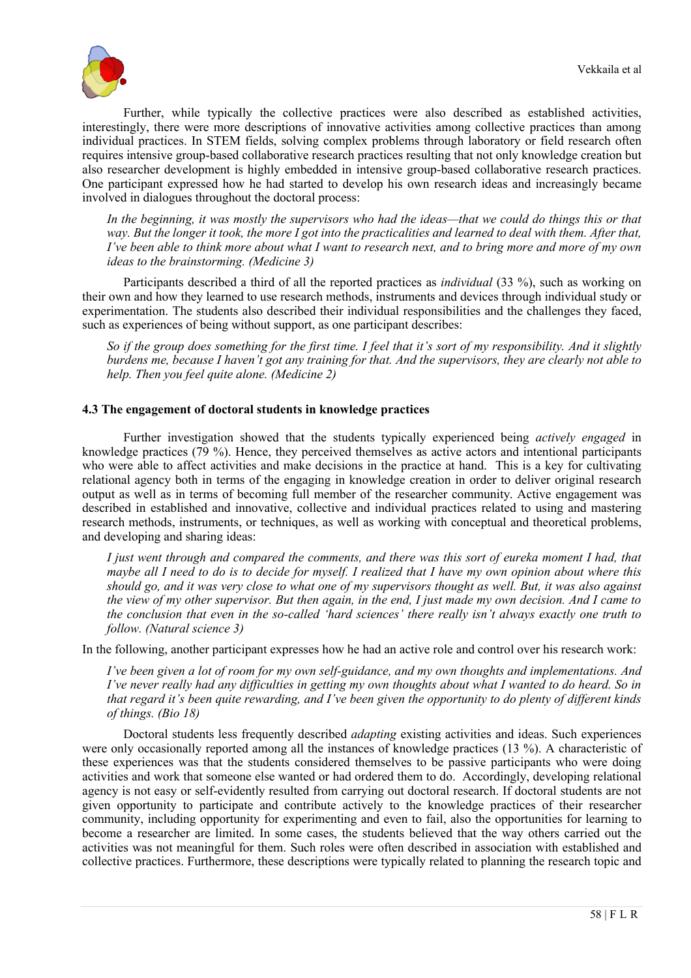

Further, while typically the collective practices were also described as established activities, interestingly, there were more descriptions of innovative activities among collective practices than among individual practices. In STEM fields, solving complex problems through laboratory or field research often requires intensive group-based collaborative research practices resulting that not only knowledge creation but also researcher development is highly embedded in intensive group-based collaborative research practices. One participant expressed how he had started to develop his own research ideas and increasingly became involved in dialogues throughout the doctoral process:

*In the beginning, it was mostly the supervisors who had the ideas—that we could do things this or that way. But the longer it took, the more I got into the practicalities and learned to deal with them. After that, I've been able to think more about what I want to research next, and to bring more and more of my own ideas to the brainstorming. (Medicine 3)*

Participants described a third of all the reported practices as *individual* (33 %), such as working on their own and how they learned to use research methods, instruments and devices through individual study or experimentation. The students also described their individual responsibilities and the challenges they faced, such as experiences of being without support, as one participant describes:

*So if the group does something for the first time. I feel that it's sort of my responsibility. And it slightly burdens me, because I haven't got any training for that. And the supervisors, they are clearly not able to help. Then you feel quite alone. (Medicine 2)*

#### **4.3 The engagement of doctoral students in knowledge practices**

Further investigation showed that the students typically experienced being *actively engaged* in knowledge practices (79 %). Hence, they perceived themselves as active actors and intentional participants who were able to affect activities and make decisions in the practice at hand. This is a key for cultivating relational agency both in terms of the engaging in knowledge creation in order to deliver original research output as well as in terms of becoming full member of the researcher community. Active engagement was described in established and innovative, collective and individual practices related to using and mastering research methods, instruments, or techniques, as well as working with conceptual and theoretical problems, and developing and sharing ideas:

*I just went through and compared the comments, and there was this sort of eureka moment I had, that maybe all I need to do is to decide for myself. I realized that I have my own opinion about where this should go, and it was very close to what one of my supervisors thought as well. But, it was also against the view of my other supervisor. But then again, in the end, I just made my own decision. And I came to the conclusion that even in the so-called 'hard sciences' there really isn't always exactly one truth to follow. (Natural science 3)*

In the following, another participant expresses how he had an active role and control over his research work:

*I've been given a lot of room for my own self-guidance, and my own thoughts and implementations. And I've never really had any difficulties in getting my own thoughts about what I wanted to do heard. So in that regard it's been quite rewarding, and I've been given the opportunity to do plenty of different kinds of things. (Bio 18)*

Doctoral students less frequently described *adapting* existing activities and ideas. Such experiences were only occasionally reported among all the instances of knowledge practices (13 %). A characteristic of these experiences was that the students considered themselves to be passive participants who were doing activities and work that someone else wanted or had ordered them to do. Accordingly, developing relational agency is not easy or self-evidently resulted from carrying out doctoral research. If doctoral students are not given opportunity to participate and contribute actively to the knowledge practices of their researcher community, including opportunity for experimenting and even to fail, also the opportunities for learning to become a researcher are limited. In some cases, the students believed that the way others carried out the activities was not meaningful for them. Such roles were often described in association with established and collective practices. Furthermore, these descriptions were typically related to planning the research topic and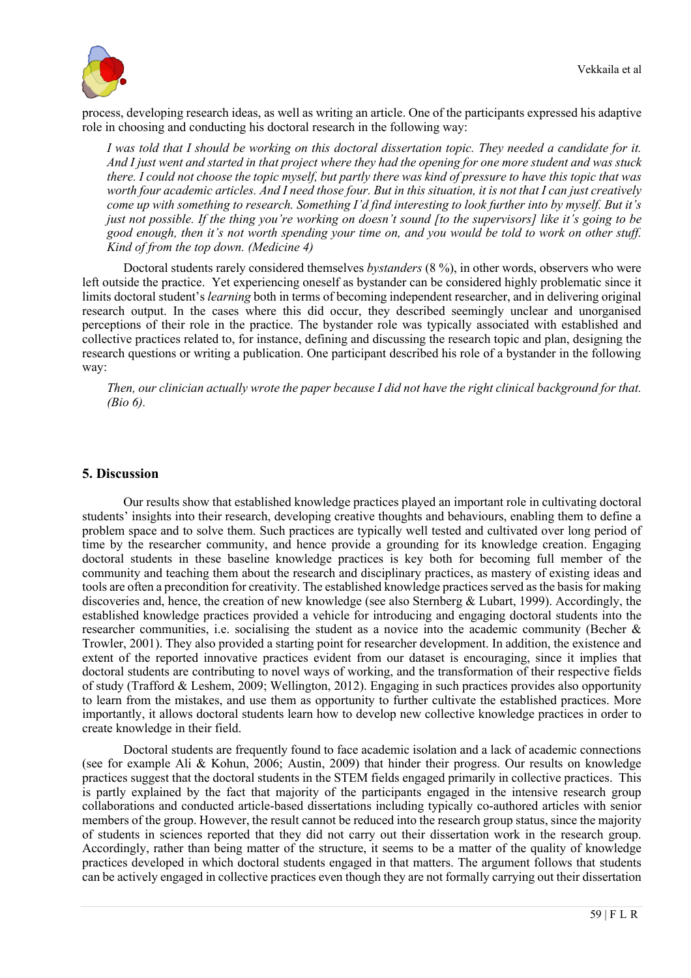

process, developing research ideas, as well as writing an article. One of the participants expressed his adaptive role in choosing and conducting his doctoral research in the following way:

*I was told that I should be working on this doctoral dissertation topic. They needed a candidate for it. And I just went and started in that project where they had the opening for one more student and was stuck there. I could not choose the topic myself, but partly there was kind of pressure to have this topic that was worth four academic articles. And I need those four. But in this situation, it is not that I can just creatively come up with something to research. Something I'd find interesting to look further into by myself. But it's just not possible. If the thing you're working on doesn't sound [to the supervisors] like it's going to be good enough, then it's not worth spending your time on, and you would be told to work on other stuff. Kind of from the top down. (Medicine 4)*

Doctoral students rarely considered themselves *bystanders* (8 %), in other words, observers who were left outside the practice. Yet experiencing oneself as bystander can be considered highly problematic since it limits doctoral student's *learning* both in terms of becoming independent researcher, and in delivering original research output. In the cases where this did occur, they described seemingly unclear and unorganised perceptions of their role in the practice. The bystander role was typically associated with established and collective practices related to, for instance, defining and discussing the research topic and plan, designing the research questions or writing a publication. One participant described his role of a bystander in the following way:

*Then, our clinician actually wrote the paper because I did not have the right clinical background for that. (Bio 6).*

#### **5. Discussion**

Our results show that established knowledge practices played an important role in cultivating doctoral students' insights into their research, developing creative thoughts and behaviours, enabling them to define a problem space and to solve them. Such practices are typically well tested and cultivated over long period of time by the researcher community, and hence provide a grounding for its knowledge creation. Engaging doctoral students in these baseline knowledge practices is key both for becoming full member of the community and teaching them about the research and disciplinary practices, as mastery of existing ideas and tools are often a precondition for creativity. The established knowledge practices served as the basis for making discoveries and, hence, the creation of new knowledge (see also Sternberg & Lubart, 1999). Accordingly, the established knowledge practices provided a vehicle for introducing and engaging doctoral students into the researcher communities, i.e. socialising the student as a novice into the academic community (Becher & Trowler, 2001). They also provided a starting point for researcher development. In addition, the existence and extent of the reported innovative practices evident from our dataset is encouraging, since it implies that doctoral students are contributing to novel ways of working, and the transformation of their respective fields of study (Trafford & Leshem, 2009; Wellington, 2012). Engaging in such practices provides also opportunity to learn from the mistakes, and use them as opportunity to further cultivate the established practices. More importantly, it allows doctoral students learn how to develop new collective knowledge practices in order to create knowledge in their field.

Doctoral students are frequently found to face academic isolation and a lack of academic connections (see for example Ali & Kohun, 2006; Austin, 2009) that hinder their progress. Our results on knowledge practices suggest that the doctoral students in the STEM fields engaged primarily in collective practices. This is partly explained by the fact that majority of the participants engaged in the intensive research group collaborations and conducted article-based dissertations including typically co-authored articles with senior members of the group. However, the result cannot be reduced into the research group status, since the majority of students in sciences reported that they did not carry out their dissertation work in the research group. Accordingly, rather than being matter of the structure, it seems to be a matter of the quality of knowledge practices developed in which doctoral students engaged in that matters. The argument follows that students can be actively engaged in collective practices even though they are not formally carrying out their dissertation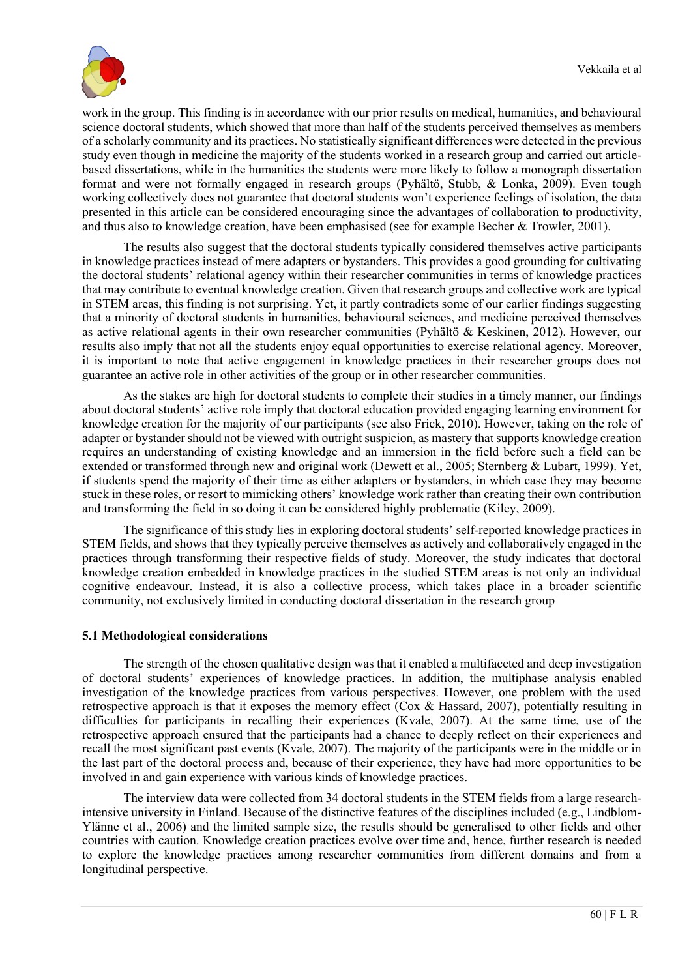

work in the group. This finding is in accordance with our prior results on medical, humanities, and behavioural science doctoral students, which showed that more than half of the students perceived themselves as members of a scholarly community and its practices. No statistically significant differences were detected in the previous study even though in medicine the majority of the students worked in a research group and carried out articlebased dissertations, while in the humanities the students were more likely to follow a monograph dissertation format and were not formally engaged in research groups (Pyhältö, Stubb, & Lonka, 2009). Even tough working collectively does not guarantee that doctoral students won't experience feelings of isolation, the data presented in this article can be considered encouraging since the advantages of collaboration to productivity, and thus also to knowledge creation, have been emphasised (see for example Becher & Trowler, 2001).

The results also suggest that the doctoral students typically considered themselves active participants in knowledge practices instead of mere adapters or bystanders. This provides a good grounding for cultivating the doctoral students' relational agency within their researcher communities in terms of knowledge practices that may contribute to eventual knowledge creation. Given that research groups and collective work are typical in STEM areas, this finding is not surprising. Yet, it partly contradicts some of our earlier findings suggesting that a minority of doctoral students in humanities, behavioural sciences, and medicine perceived themselves as active relational agents in their own researcher communities (Pyhältö & Keskinen, 2012). However, our results also imply that not all the students enjoy equal opportunities to exercise relational agency. Moreover, it is important to note that active engagement in knowledge practices in their researcher groups does not guarantee an active role in other activities of the group or in other researcher communities.

As the stakes are high for doctoral students to complete their studies in a timely manner, our findings about doctoral students' active role imply that doctoral education provided engaging learning environment for knowledge creation for the majority of our participants (see also Frick, 2010). However, taking on the role of adapter or bystander should not be viewed with outright suspicion, as mastery that supports knowledge creation requires an understanding of existing knowledge and an immersion in the field before such a field can be extended or transformed through new and original work (Dewett et al., 2005; Sternberg & Lubart, 1999). Yet, if students spend the majority of their time as either adapters or bystanders, in which case they may become stuck in these roles, or resort to mimicking others' knowledge work rather than creating their own contribution and transforming the field in so doing it can be considered highly problematic (Kiley, 2009).

The significance of this study lies in exploring doctoral students' self-reported knowledge practices in STEM fields, and shows that they typically perceive themselves as actively and collaboratively engaged in the practices through transforming their respective fields of study. Moreover, the study indicates that doctoral knowledge creation embedded in knowledge practices in the studied STEM areas is not only an individual cognitive endeavour. Instead, it is also a collective process, which takes place in a broader scientific community, not exclusively limited in conducting doctoral dissertation in the research group

#### **5.1 Methodological considerations**

The strength of the chosen qualitative design was that it enabled a multifaceted and deep investigation of doctoral students' experiences of knowledge practices. In addition, the multiphase analysis enabled investigation of the knowledge practices from various perspectives. However, one problem with the used retrospective approach is that it exposes the memory effect ( $\cos \alpha$  Hassard, 2007), potentially resulting in difficulties for participants in recalling their experiences (Kvale, 2007). At the same time, use of the retrospective approach ensured that the participants had a chance to deeply reflect on their experiences and recall the most significant past events (Kvale, 2007). The majority of the participants were in the middle or in the last part of the doctoral process and, because of their experience, they have had more opportunities to be involved in and gain experience with various kinds of knowledge practices.

The interview data were collected from 34 doctoral students in the STEM fields from a large researchintensive university in Finland. Because of the distinctive features of the disciplines included (e.g., Lindblom-Ylänne et al., 2006) and the limited sample size, the results should be generalised to other fields and other countries with caution. Knowledge creation practices evolve over time and, hence, further research is needed to explore the knowledge practices among researcher communities from different domains and from a longitudinal perspective.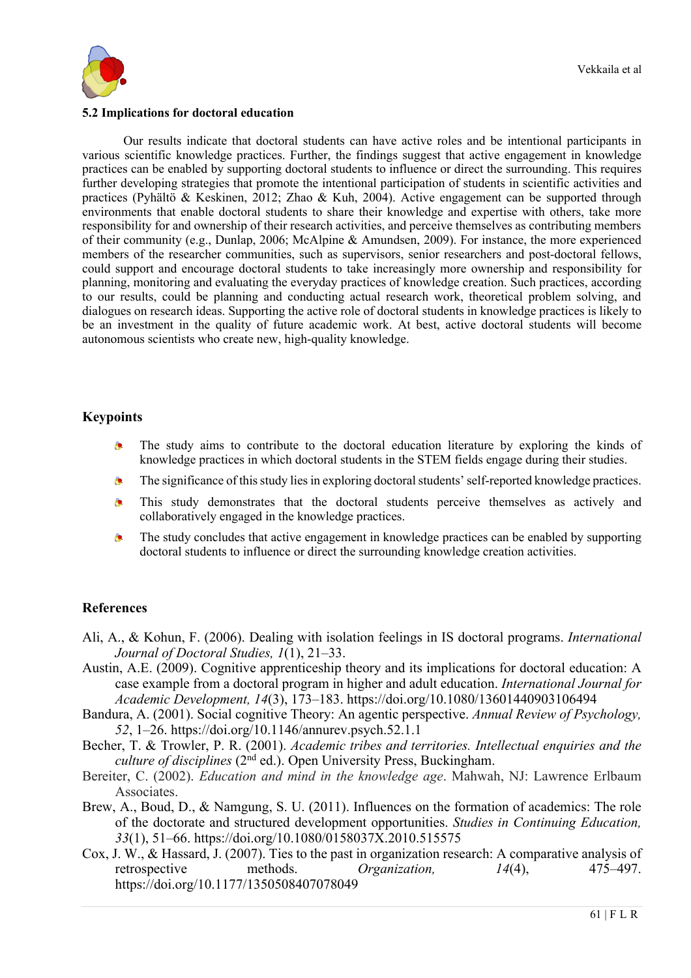

#### **5.2 Implications for doctoral education**

Our results indicate that doctoral students can have active roles and be intentional participants in various scientific knowledge practices. Further, the findings suggest that active engagement in knowledge practices can be enabled by supporting doctoral students to influence or direct the surrounding. This requires further developing strategies that promote the intentional participation of students in scientific activities and practices (Pyhältö & Keskinen, 2012; Zhao & Kuh, 2004). Active engagement can be supported through environments that enable doctoral students to share their knowledge and expertise with others, take more responsibility for and ownership of their research activities, and perceive themselves as contributing members of their community (e.g., Dunlap, 2006; McAlpine & Amundsen, 2009). For instance, the more experienced members of the researcher communities, such as supervisors, senior researchers and post-doctoral fellows, could support and encourage doctoral students to take increasingly more ownership and responsibility for planning, monitoring and evaluating the everyday practices of knowledge creation. Such practices, according to our results, could be planning and conducting actual research work, theoretical problem solving, and dialogues on research ideas. Supporting the active role of doctoral students in knowledge practices is likely to be an investment in the quality of future academic work. At best, active doctoral students will become autonomous scientists who create new, high-quality knowledge.

## **Keypoints**

- The study aims to contribute to the doctoral education literature by exploring the kinds of  $\bullet$ knowledge practices in which doctoral students in the STEM fields engage during their studies.
- The significance of this study lies in exploring doctoral students' self-reported knowledge practices. Ä.
- This study demonstrates that the doctoral students perceive themselves as actively and ò. collaboratively engaged in the knowledge practices.
- ۰ The study concludes that active engagement in knowledge practices can be enabled by supporting doctoral students to influence or direct the surrounding knowledge creation activities.

## **References**

- Ali, A., & Kohun, F. (2006). Dealing with isolation feelings in IS doctoral programs. *International Journal of Doctoral Studies, 1*(1), 21–33.
- Austin, A.E. (2009). Cognitive apprenticeship theory and its implications for doctoral education: A case example from a doctoral program in higher and adult education. *International Journal for Academic Development, 14*(3), 173–183. https://doi.org/10.1080/13601440903106494
- Bandura, A. (2001). Social cognitive Theory: An agentic perspective. *Annual Review of Psychology, 52*, 1–26. https://doi.org/10.1146/annurev.psych.52.1.1
- Becher, T. & Trowler, P. R. (2001). *Academic tribes and territories. Intellectual enquiries and the culture of disciplines* (2nd ed.). Open University Press, Buckingham.
- Bereiter, C. (2002). *Education and mind in the knowledge age*. Mahwah, NJ: Lawrence Erlbaum Associates.
- Brew, A., Boud, D., & Namgung, S. U. (2011). Influences on the formation of academics: The role of the doctorate and structured development opportunities. *Studies in Continuing Education, 33*(1), 51–66. https://doi.org/10.1080/0158037X.2010.515575
- Cox, J. W., & Hassard, J. (2007). Ties to the past in organization research: A comparative analysis of retrospective methods. *Organization, 14*(4), 475–497. https://doi.org/10.1177/1350508407078049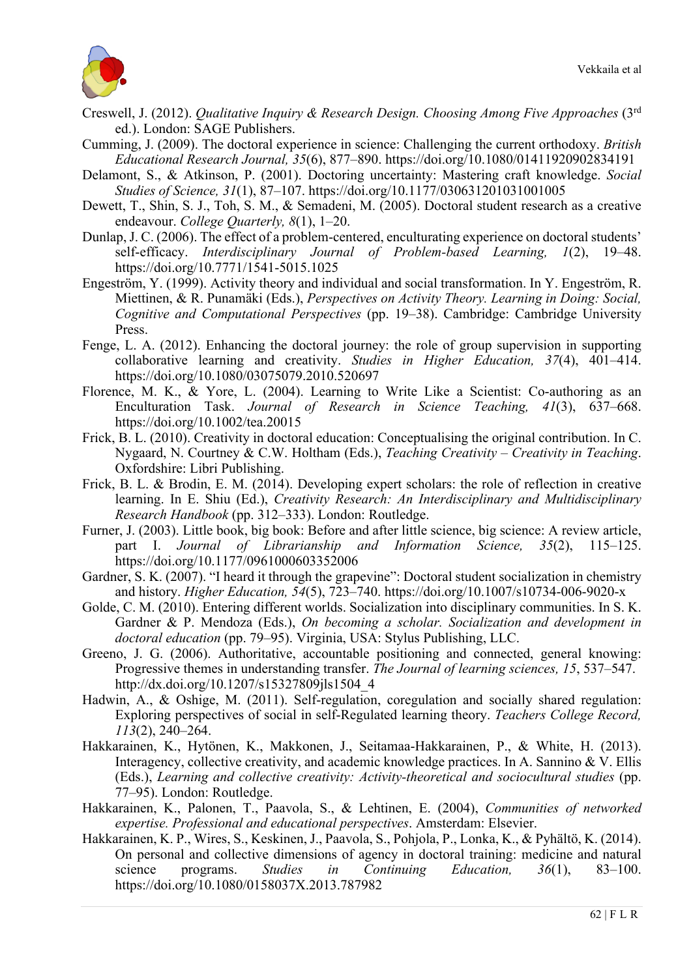

- Creswell, J. (2012). *Qualitative Inquiry & Research Design. Choosing Among Five Approaches* (3rd ed.). London: SAGE Publishers.
- Cumming, J. (2009). The doctoral experience in science: Challenging the current orthodoxy. *British Educational Research Journal, 35*(6), 877–890. https://doi.org/10.1080/01411920902834191
- Delamont, S., & Atkinson, P. (2001). Doctoring uncertainty: Mastering craft knowledge. *Social Studies of Science, 31*(1), 87–107. https://doi.org/10.1177/030631201031001005
- Dewett, T., Shin, S. J., Toh, S. M., & Semadeni, M. (2005). Doctoral student research as a creative endeavour. *College Quarterly, 8*(1), 1–20.
- Dunlap, J. C. (2006). The effect of a problem-centered, enculturating experience on doctoral students' self-efficacy. *Interdisciplinary Journal of Problem-based Learning, 1*(2), 19–48. https://doi.org/10.7771/1541-5015.1025
- Engeström, Y. (1999). Activity theory and individual and social transformation. In Y. Engeström, R. Miettinen, & R. Punamäki (Eds.), *Perspectives on Activity Theory. Learning in Doing: Social, Cognitive and Computational Perspectives* (pp. 19–38). Cambridge: Cambridge University Press.
- Fenge, L. A. (2012). Enhancing the doctoral journey: the role of group supervision in supporting collaborative learning and creativity. *Studies in Higher Education, 37*(4), 401–414. https://doi.org/10.1080/03075079.2010.520697
- Florence, M. K., & Yore, L. (2004). Learning to Write Like a Scientist: Co-authoring as an Enculturation Task. *Journal of Research in Science Teaching, 41*(3), 637–668. https://doi.org/10.1002/tea.20015
- Frick, B. L. (2010). Creativity in doctoral education: Conceptualising the original contribution. In C. Nygaard, N. Courtney & C.W. Holtham (Eds.), *Teaching Creativity – Creativity in Teaching*. Oxfordshire: Libri Publishing.
- Frick, B. L. & Brodin, E. M. (2014). Developing expert scholars: the role of reflection in creative learning. In E. Shiu (Ed.), *Creativity Research: An Interdisciplinary and Multidisciplinary Research Handbook* (pp. 312–333). London: Routledge.
- Furner, J. (2003). Little book, big book: Before and after little science, big science: A review article, part I. *Journal of Librarianship and Information Science, 35*(2), 115–125. https://doi.org/10.1177/0961000603352006
- Gardner, S. K. (2007). "I heard it through the grapevine": Doctoral student socialization in chemistry and history. *Higher Education, 54*(5), 723–740. https://doi.org/10.1007/s10734-006-9020-x
- Golde, C. M. (2010). Entering different worlds. Socialization into disciplinary communities. In S. K. Gardner & P. Mendoza (Eds.), *On becoming a scholar. Socialization and development in doctoral education* (pp. 79–95). Virginia, USA: Stylus Publishing, LLC.
- Greeno, J. G. (2006). Authoritative, accountable positioning and connected, general knowing: Progressive themes in understanding transfer. *The Journal of learning sciences, 15*, 537–547. http://dx.doi.org/10.1207/s15327809ils1504\_4
- Hadwin, A., & Oshige, M. (2011). Self-regulation, coregulation and socially shared regulation: Exploring perspectives of social in self-Regulated learning theory. *Teachers College Record, 113*(2), 240–264.
- Hakkarainen, K., Hytönen, K., Makkonen, J., Seitamaa-Hakkarainen, P., & White, H. (2013). Interagency, collective creativity, and academic knowledge practices. In A. Sannino & V. Ellis (Eds.), *Learning and collective creativity: Activity-theoretical and sociocultural studies* (pp. 77–95). London: Routledge.
- Hakkarainen, K., Palonen, T., Paavola, S., & Lehtinen, E. (2004), *Communities of networked expertise. Professional and educational perspectives*. Amsterdam: Elsevier.
- Hakkarainen, K. P., Wires, S., Keskinen, J., Paavola, S., Pohjola, P., Lonka, K., & Pyhältö, K. (2014). On personal and collective dimensions of agency in doctoral training: medicine and natural science programs. *Studies in Continuing Education, 36*(1), 83–100. https://doi.org/10.1080/0158037X.2013.787982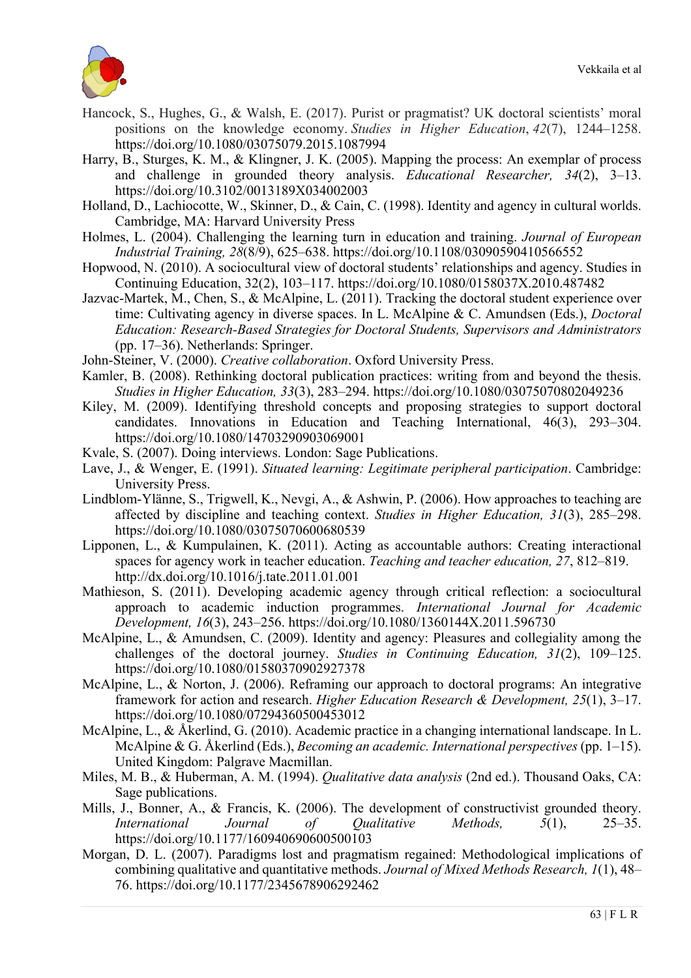

- Hancock, S., Hughes, G., & Walsh, E. (2017). Purist or pragmatist? UK doctoral scientists' moral positions on the knowledge economy. *Studies in Higher Education*, *42*(7), 1244–1258. https://doi.org/10.1080/03075079.2015.1087994
- Harry, B., Sturges, K. M., & Klingner, J. K. (2005). Mapping the process: An exemplar of process and challenge in grounded theory analysis. *Educational Researcher, 34*(2), 3–13. https://doi.org/10.3102/0013189X034002003
- Holland, D., Lachiocotte, W., Skinner, D., & Cain, C. (1998). Identity and agency in cultural worlds. Cambridge, MA: Harvard University Press
- Holmes, L. (2004). Challenging the learning turn in education and training. *Journal of European Industrial Training, 28*(8/9), 625–638. https://doi.org/10.1108/03090590410566552
- Hopwood, N. (2010). A sociocultural view of doctoral students' relationships and agency. Studies in Continuing Education, 32(2), 103–117. https://doi.org/10.1080/0158037X.2010.487482
- Jazvac-Martek, M., Chen, S., & McAlpine, L. (2011). Tracking the doctoral student experience over time: Cultivating agency in diverse spaces. In L. McAlpine & C. Amundsen (Eds.), *Doctoral Education: Research-Based Strategies for Doctoral Students, Supervisors and Administrators* (pp. 17–36). Netherlands: Springer.
- John-Steiner, V. (2000). *Creative collaboration*. Oxford University Press.
- Kamler, B. (2008). Rethinking doctoral publication practices: writing from and beyond the thesis. *Studies in Higher Education, 33*(3), 283–294. https://doi.org/10.1080/03075070802049236
- Kiley, M. (2009). Identifying threshold concepts and proposing strategies to support doctoral candidates. Innovations in Education and Teaching International, 46(3), 293–304. https://doi.org/10.1080/14703290903069001
- Kvale, S. (2007). Doing interviews. London: Sage Publications.
- Lave, J., & Wenger, E. (1991). *Situated learning: Legitimate peripheral participation*. Cambridge: University Press.
- Lindblom-Ylänne, S., Trigwell, K., Nevgi, A., & Ashwin, P. (2006). How approaches to teaching are affected by discipline and teaching context. *Studies in Higher Education, 31*(3), 285–298. https://doi.org/10.1080/03075070600680539
- Lipponen, L., & Kumpulainen, K. (2011). Acting as accountable authors: Creating interactional spaces for agency work in teacher education. *Teaching and teacher education, 27*, 812–819. http://dx.doi.org/10.1016/j.tate.2011.01.001
- Mathieson, S. (2011). Developing academic agency through critical reflection: a sociocultural approach to academic induction programmes. *International Journal for Academic Development, 16*(3), 243–256. https://doi.org/10.1080/1360144X.2011.596730
- McAlpine, L., & Amundsen, C. (2009). Identity and agency: Pleasures and collegiality among the challenges of the doctoral journey. *Studies in Continuing Education, 31*(2), 109–125. https://doi.org/10.1080/01580370902927378
- McAlpine, L., & Norton, J. (2006). Reframing our approach to doctoral programs: An integrative framework for action and research. *Higher Education Research & Development, 25*(1), 3–17. https://doi.org/10.1080/07294360500453012
- McAlpine, L., & Åkerlind, G. (2010). Academic practice in a changing international landscape. In L. McAlpine & G. Åkerlind (Eds.), *Becoming an academic. International perspectives* (pp. 1–15). United Kingdom: Palgrave Macmillan.
- Miles, M. B., & Huberman, A. M. (1994). *Qualitative data analysis* (2nd ed.). Thousand Oaks, CA: Sage publications.
- Mills, J., Bonner, A., & Francis, K. (2006). The development of constructivist grounded theory. *International Journal of Qualitative Methods, 5*(1), 25–35. https://doi.org/10.1177/160940690600500103
- Morgan, D. L. (2007). Paradigms lost and pragmatism regained: Methodological implications of combining qualitative and quantitative methods. *Journal of Mixed Methods Research, 1*(1), 48– 76. https://doi.org/10.1177/2345678906292462